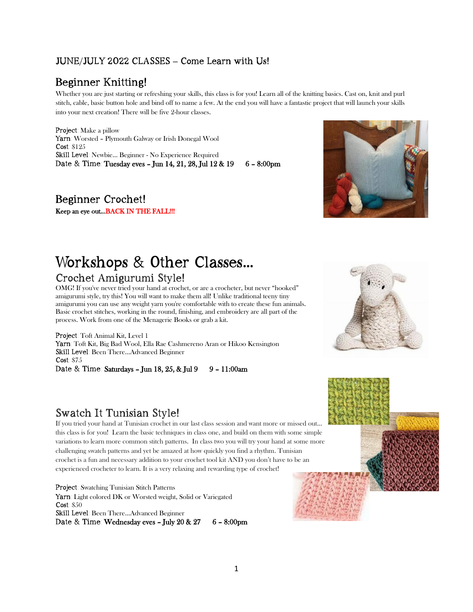#### JUNE/JULY 2022 CLASSES **–** Come Learn with Us!

## Beginner Knitting!

Whether you are just starting or refreshing your skills, this class is for you! Learn all of the knitting basics. Cast on, knit and purl stitch, cable, basic button hole and bind off to name a few. At the end you will have a fantastic project that will launch your skills into your next creation! There will be five 2-hour classes.

Project: Make a pillow Yarn: Worsted – Plymouth Galway or Irish Donegal Wool Cost: \$125 Skill Level: Newbie… Beginner - No Experience Required Date & Time: Tuesday eves - Jun 14, 21, 28, Jul 12 & 19 6 - 8:00pm

Beginner Crochet! Keep an eye out...BACK IN THE FALL!!!

# Workshops & Other Classes**…**

#### Crochet Amigurumi Style!

OMG! If you've never tried your hand at crochet, or are a crocheter, but never "hooked" amigurumi style, try this! You will want to make them all! Unlike traditional teeny tiny amigurumi you can use any weight yarn you're comfortable with to create these fun animals. Basic crochet stitches, working in the round, finishing, and embroidery are all part of the process. Work from one of the Menagerie Books or grab a kit.

Project: Toft Animal Kit, Level 1 Yarn: Toft Kit, Big Bad Wool, Ella Rae Cashmereno Aran or Hikoo Kensington Skill Level: Been There…Advanced Beginner Cost: \$75 Date & Time: Saturdays - Jun 18, 25, & Jul 9 9 - 11:00am

## Swatch It Tunisian Style!

If you tried your hand at Tunisian crochet in our last class session and want more or missed out... this class is for you! Learn the basic techniques in class one, and build on them with some simple variations to learn more common stitch patterns. In class two you will try your hand at some more challenging swatch patterns and yet be amazed at how quickly you find a rhythm. Tunisian crochet is a fun and necessary addition to your crochet tool kit AND you don't have to be an experienced crocheter to learn. It is a very relaxing and rewarding type of crochet!

Project: Swatching Tunisian Stitch Patterns Yarn: Light colored DK or Worsted weight, Solid or Variegated Cost: \$50 Skill Level: Been There…Advanced Beginner Date & Time: Wednesday eves - July 20 & 27  $6 - 8:00 \text{pm}$ 





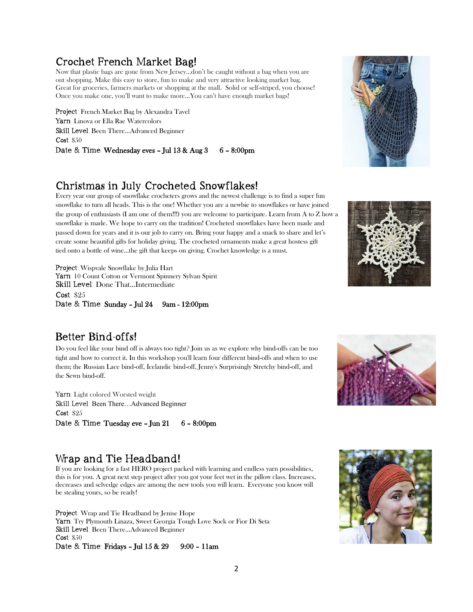#### Crochet French Market Bag!

Now that plastic bags are gone from New Jersey...don't be caught without a bag when you are out shopping. Make this easy to store, fun to make and very attractive looking market bag. Great for groceries, farmers markets or shopping at the mall. Solid or self-striped, you choose! Once you make one, you'll want to make more...You can't have enough market bags!

Project: French Market Bag by Alexandra Tavel Yarn: Linova or Ella Rae Watercolors Skill Level: Been There…Advanced Beginner Cost: \$50 Date & Time: Wednesday eves – Jul  $13 & \text{Aug } 3 = 6 - 8:00 \text{pm}$ 

## Christmas in July Crocheted Snowflakes!

Every year our group of snowflake crocheters grows and the newest challenge is to find a super fun snowflake to turn all heads. This is the one! Whether you are a newbie to snowflakes or have joined the group of enthusiasts (I am one of them!!!) you are welcome to participate. Learn from A to Z how a snowflake is made. We hope to carry on the tradition! Crocheted snowflakes have been made and passed down for years and it is our job to carry on. Bring your happy and a snack to share and let's create some beautiful gifts for holiday giving. The crocheted ornaments make a great hostess gift tied onto a bottle of wine…the gift that keeps on giving. Crochet knowledge is a must.

Project: Wispvale Snowflake by Julia Hart Yarn: 10 Count Cotton or Vermont Spinnery Sylvan Spirit Skill Level: Done That…Intermediate Cost: \$25 Date & Time: Sunday - Jul 24 9am - 12:00pm

## Better Bind-offs!

Do you feel like your bind off is always too tight? Join us as we explore why bind-offs can be too tight and how to correct it. In this workshop you'll learn four different bind-offs and when to use them; the Russian Lace bind-off, Icelandic bind-off, Jenny's Surprisingly Stretchy bind-off, and the Sewn bind-off.

Yarn: Light colored Worsted weight Skill Level: Been There…Advanced Beginner Cost: \$25 Date  $\&$  Time: Tuesday eve – Jun 21 6 – 8:00pm

#### Wrap and Tie Headband!

If you are looking for a fast HERO project packed with learning and endless yarn possibilities, this is for you. A great next step project after you got your feet wet in the pillow class. Increases, decreases and selvedge edges are among the new tools you will learn. Everyone you know will be stealing yours, so be ready!

Project: Wrap and Tie Headband by Jenise Hope Yarn: Try Plymouth Linaza, Sweet Georgia Tough Love Sock or Fior Di Seta Skill Level: Been There…Advanced Beginner Cost: \$50 Date & Time: Fridays – Jul  $15 & 29$  9:00 – 11am







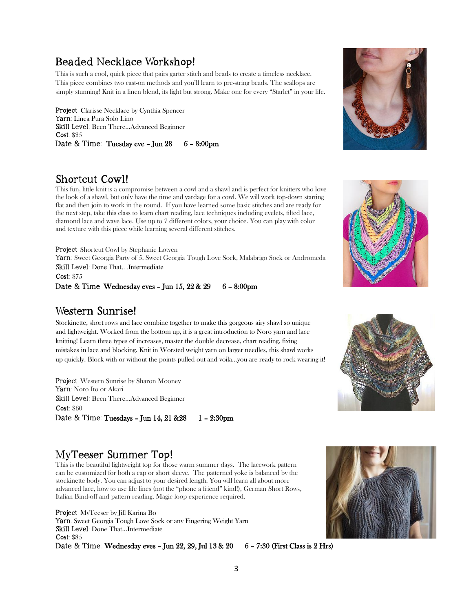## Beaded Necklace Workshop!

This is such a cool, quick piece that pairs garter stitch and beads to create a timeless necklace. This piece combines two cast-on methods and you'll learn to pre-string beads. The scallops are simply stunning! Knit in a linen blend, its light but strong. Make one for every "Starlet" in your life.

Project: Clarisse Necklace by Cynthia Spencer Yarn: Linea Pura Solo Lino Skill Level: Been There…Advanced Beginner Cost: \$25 Date & Time: Tuesday eve - Jun 28 6 - 8:00pm



#### Shortcut Cowl!

This fun, little knit is a compromise between a cowl and a shawl and is perfect for knitters who love the look of a shawl, but only have the time and yardage for a cowl. We will work top-down starting flat and then join to work in the round. If you have learned some basic stitches and are ready for the next step, take this class to learn chart reading, lace techniques including eyelets, tilted lace, diamond lace and wave lace. Use up to 7 different colors, your choice. You can play with color and texture with this piece while learning several different stitches.

Project: Shortcut Cowl by Stephanie Lotven Yarn: Sweet Georgia Party of 5, Sweet Georgia Tough Love Sock, Malabrigo Sock or Andromeda Skill Level: Done That…Intermediate Cost: \$75

Date & Time: Wednesday eves - Jun 15, 22 & 29 6 - 8:00pm

#### Western Sunrise!

Stockinette, short rows and lace combine together to make this gorgeous airy shawl so unique and lightweight. Worked from the bottom up, it is a great introduction to Noro yarn and lace knitting! Learn three types of increases, master the double decrease, chart reading, fixing mistakes in lace and blocking. Knit in Worsted weight yarn on larger needles, this shawl works up quickly. Block with or without the points pulled out and voila…you are ready to rock wearing it!

Project: Western Sunrise by Sharon Mooney Yarn: Noro Ito or Akari Skill Level: Been There…Advanced Beginner Cost: \$60 Date & Time: Tuesdays - Jun 14, 21 & 28 1 - 2:30pm

## MyTeeser Summer Top!

This is the beautiful lightweight top for those warm summer days. The lacework pattern can be customized for both a cap or short sleeve. The patterned yoke is balanced by the stockinette body. You can adjust to your desired length. You will learn all about more advanced lace, how to use life lines (not the "phone a friend" kind!), German Short Rows, Italian Bind-off and pattern reading. Magic loop experience required.

Project: MyTeeser by Jill Karina Bo Yarn: Sweet Georgia Tough Love Sock or any Fingering Weight Yarn Skill Level: Done That…Intermediate Cost: \$85 Date & Time: Wednesday eves – Jun 22, 29, Jul 13 & 20  $6 - 7:30$  (First Class is 2 Hrs)





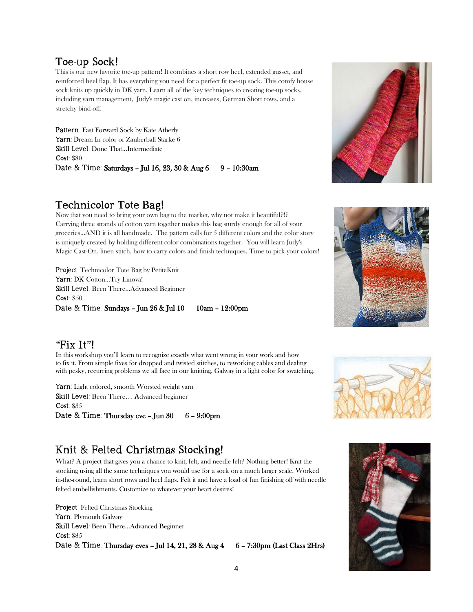#### Toe-up Sock!

This is our new favorite toe-up pattern! It combines a short row heel, extended gusset, and reinforced heel flap. It has everything you need for a perfect fit toe-up sock. This comfy house sock knits up quickly in DK yarn. Learn all of the key techniques to creating toe-up socks, including yarn management, Judy's magic cast on, increases, German Short rows, and a stretchy bind-off.

Pattern: Fast Forward Sock by Kate Atherly Yarn: Dream In color or Zauberball Starke 6 Skill Level: Done That…Intermediate Cost: \$80 Date & Time: Saturdays - Jul 16, 23, 30 & Aug 6 9 - 10:30am

#### Technicolor Tote Bag!

Now that you need to bring your own bag to the market, why not make it beautiful?!? Carrying three strands of cotton yarn together makes this bag sturdy enough for all of your groceries...AND it is all handmade. The pattern calls for 5 different colors and the color story is uniquely created by holding different color combinations together. You will learn Judy's Magic Cast-On, linen stitch, how to carry colors and finish techniques. Time to pick your colors!

Project: Technicolor Tote Bag by PetiteKnit Yarn: DK Cotton...Try Linova! Skill Level: Been There…Advanced Beginner Cost: \$50 Date & Time: Sundays – Jun 26 & Jul 10 10am – 12:00pm

#### "Fix It"!

In this workshop you'll learn to recognize exactly what went wrong in your work and how to fix it. From simple fixes for dropped and twisted stitches, to reworking cables and dealing with pesky, recurring problems we all face in our knitting. Galway in a light color for swatching.

Yarn: Light colored, smooth Worsted weight yarn Skill Level: Been There… Advanced beginner Cost: \$35 Date & Time: Thursday eve - Jun 30 6 - 9:00pm

## Knit & Felted Christmas Stocking!

What? A project that gives you a chance to knit, felt, and needle felt? Nothing better! Knit the stocking using all the same techniques you would use for a sock on a much larger scale. Worked in-the-round, learn short rows and heel flaps. Felt it and have a load of fun finishing off with needle felted embellishments. Customize to whatever your heart desires!

Project: Felted Christmas Stocking Yarn: Plymouth Galway Skill Level: Been There…Advanced Beginner Cost: \$85 Date & Time: Thursday eves - Jul 14, 21, 28 & Aug  $4-6$  - 7:30pm (Last Class 2Hrs)







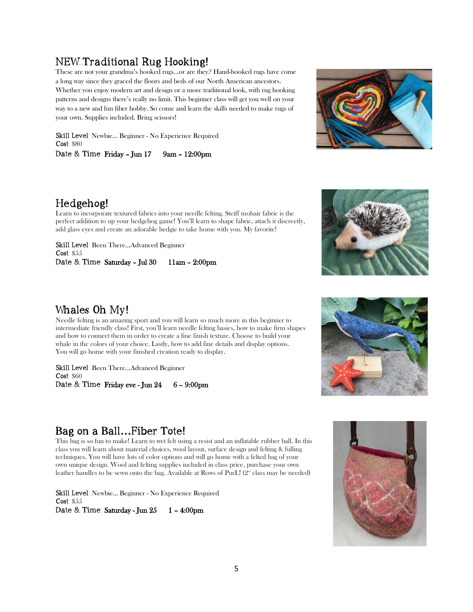### NEW Traditional Rug Hooking!

These are not your grandma's hooked rugs…or are they? Hand-hooked rugs have come a long way since they graced the floors and beds of our North American ancestors. Whether you enjoy modern art and design or a more traditional look, with rug hooking patterns and designs there's really no limit. This beginner class will get you well on your way to a new and fun fiber hobby. So come and learn the skills needed to make rugs of your own. Supplies included. Bring scissors!

Skill Level: Newbie… Beginner - No Experience Required Cost: \$80 Date & Time: Friday - Jun 17 9am - 12:00pm





Learn to incorporate textured fabrics into your needle felting. Steiff mohair fabric is the perfect addition to up your hedgehog game! You'll learn to shape fabric, attach it discreetly, add glass eyes and create an adorable hedgie to take home with you. My favorite!

Skill Level: Been There...Advanced Beginner Cost: \$55 Date & Time: Saturday – Jul 30 11am – 2:00pm



#### Whales Oh My!

Needle felting is an amazing sport and you will learn so much more in this beginner to intermediate friendly class! First, you'll learn needle felting basics, how to make firm shapes and how to connect them in order to create a fine finish texture. Choose to build your whale in the colors of your choice. Lastly, how to add fine details and display options. You will go home with your finished creation ready to display.

Skill Level: Been There...Advanced Beginner Cost: \$60 Date & Time: Friday eve - Jun 24 6 - 9:00pm



## Bag on a Ball**…**Fiber Tote!

This bag is so fun to make! Learn to wet felt using a resist and an inflatable rubber ball. In this class you will learn about material choices, wool layout, surface design and felting & fulling techniques. You will have lots of color options and will go home with a felted bag of your own unique design. Wool and felting supplies included in class price, purchase your own leather handles to be sewn onto the bag. Available at Rows of PurL!  $(2<sup>{\omega}</sup>$ </sub> class may be needed)

Skill Level: Newbie… Beginner - No Experience Required Cost: \$55 Date & Time: Saturday - Jun 25 1 - 4:00pm